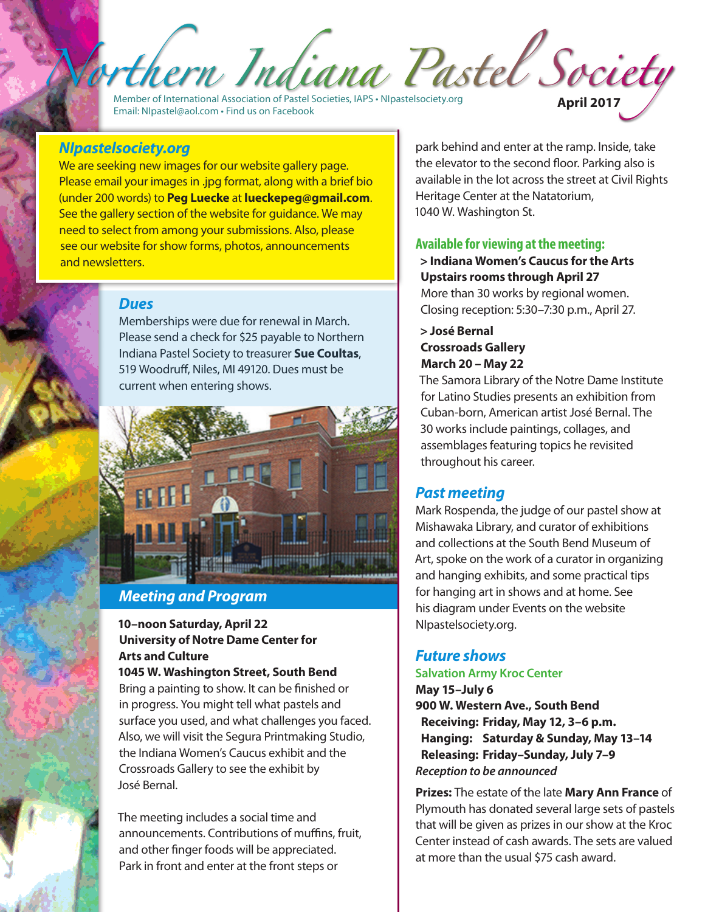Member of International Association of Pastel Societies, IAPS • NIpastelsociety.org Email: NIpastel@aol.com • Find us on Facebook **April 2017**

## *NIpastelsociety.org*

We are seeking new images for our website gallery page. Please email your images in .jpg format, along with a brief bio (under 200 words) to **Peg Luecke** at **lueckepeg@gmail.com**. See the gallery section of the website for guidance. We may need to select from among your submissions. Also, please see our website for show forms, photos, announcements and newsletters.

### *Dues*

Memberships were due for renewal in March. Please send a check for \$25 payable to Northern Indiana Pastel Society to treasurer **Sue Coultas**, 519 Woodruff, Niles, MI 49120. Dues must be current when entering shows.



# *Meeting and Program*

## **10–noon Saturday, April 22 University of Notre Dame Center for Arts and Culture**

**1045 W. Washington Street, South Bend** Bring a painting to show. It can be finished or in progress. You might tell what pastels and surface you used, and what challenges you faced. Also, we will visit the Segura Printmaking Studio, the Indiana Women's Caucus exhibit and the Crossroads Gallery to see the exhibit by José Bernal.

The meeting includes a social time and announcements. Contributions of muffins, fruit, and other finger foods will be appreciated. Park in front and enter at the front steps or

park behind and enter at the ramp. Inside, take the elevator to the second floor. Parking also is available in the lot across the street at Civil Rights Heritage Center at the Natatorium, 1040 W. Washington St.

### **Available for viewing at the meeting:**

**> Indiana Women's Caucus for the Arts Upstairs rooms through April 27** More than 30 works by regional women. Closing reception: 5:30–7:30 p.m., April 27.

### **> José Bernal Crossroads Gallery March 20 – May 22**

Indiana Pastel Society

The Samora Library of the Notre Dame Institute for Latino Studies presents an exhibition from Cuban-born, American artist José Bernal. The 30 works include paintings, collages, and assemblages featuring topics he revisited throughout his career.

## *Past meeting*

Mark Rospenda, the judge of our pastel show at Mishawaka Library, and curator of exhibitions and collections at the South Bend Museum of Art, spoke on the work of a curator in organizing and hanging exhibits, and some practical tips for hanging art in shows and at home. See his diagram under Events on the website NIpastelsociety.org.

# *Future shows*

## **Salvation Army Kroc Center**

**May 15–July 6 900 W. Western Ave., South Bend Receiving: Friday, May 12, 3–6 p.m. Hanging: Saturday & Sunday, May 13–14 Releasing: Friday–Sunday, July 7–9**  *Reception to be announced*

**Prizes:** The estate of the late **Mary Ann France** of Plymouth has donated several large sets of pastels that will be given as prizes in our show at the Kroc Center instead of cash awards. The sets are valued at more than the usual \$75 cash award.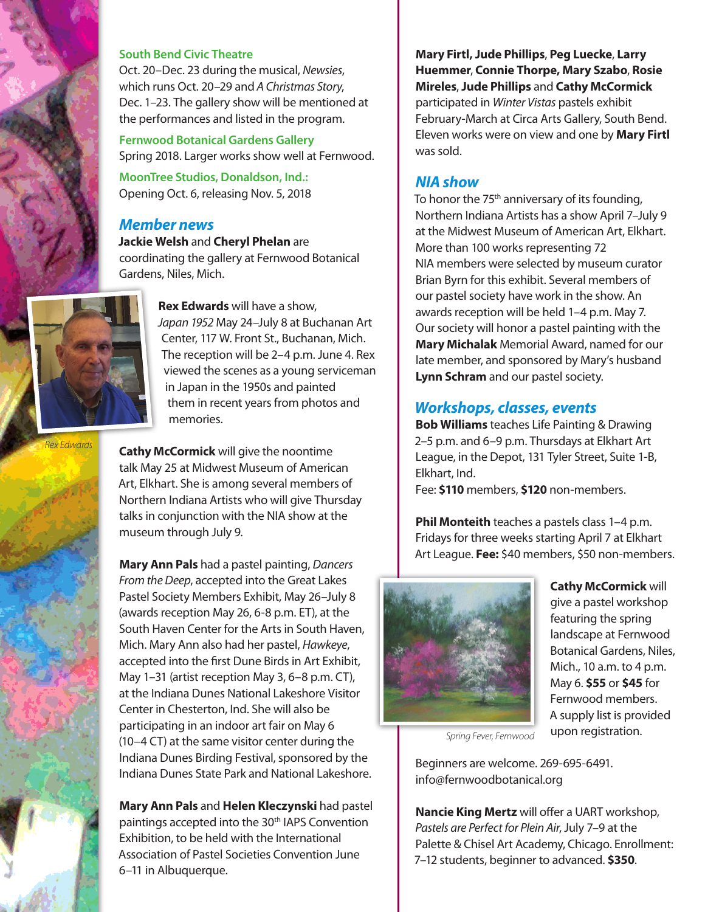

#### **South Bend Civic Theatre**

Oct. 20–Dec. 23 during the musical, *Newsies*, which runs Oct. 20–29 and *A Christmas Story*, Dec. 1–23. The gallery show will be mentioned at the performances and listed in the program.

**Fernwood Botanical Gardens Gallery** Spring 2018. Larger works show well at Fernwood.

**MoonTree Studios, Donaldson, Ind.:** Opening Oct. 6, releasing Nov. 5, 2018

### *Member news*

**Jackie Welsh** and **Cheryl Phelan** are coordinating the gallery at Fernwood Botanical Gardens, Niles, Mich.

**Cathy McCormick** will give the noontime talk May 25 at Midwest Museum of American Art, Elkhart. She is among several members of Northern Indiana Artists who will give Thursday talks in conjunction with the NIA show at the

**Mary Ann Pals** had a pastel painting, *Dancers From the Deep*, accepted into the Great Lakes Pastel Society Members Exhibit, May 26–July 8 (awards reception May 26, 6-8 p.m. ET), at the South Haven Center for the Arts in South Haven, Mich. Mary Ann also had her pastel, *Hawkeye*, accepted into the first Dune Birds in Art Exhibit, May 1–31 (artist reception May 3, 6–8 p.m. CT), at the Indiana Dunes National Lakeshore Visitor Center in Chesterton, Ind. She will also be participating in an indoor art fair on May 6 (10–4 CT) at the same visitor center during the Indiana Dunes Birding Festival, sponsored by the Indiana Dunes State Park and National Lakeshore.

**Mary Ann Pals** and **Helen Kleczynski** had pastel paintings accepted into the 30<sup>th</sup> IAPS Convention Exhibition, to be held with the International Association of Pastel Societies Convention June

museum through July 9.

6–11 in Albuquerque.



**Rex Edwards** will have a show, *Japan 1952* May 24–July 8 at Buchanan Art Center, 117 W. Front St., Buchanan, Mich. The reception will be 2–4 p.m. June 4. Rex viewed the scenes as a young serviceman in Japan in the 1950s and painted them in recent years from photos and memories.

*Rex Edwards* 

**Mary Firtl, Jude Phillips**, **Peg Luecke**, **Larry Huemmer**, **Connie Thorpe, Mary Szabo**, **Rosie Mireles**, **Jude Phillips** and **Cathy McCormick** participated in *Winter Vistas* pastels exhibit February-March at Circa Arts Gallery, South Bend. Eleven works were on view and one by **Mary Firtl**  was sold.

### *NIA show*

To honor the 75<sup>th</sup> anniversary of its founding, Northern Indiana Artists has a show April 7–July 9 at the Midwest Museum of American Art, Elkhart. More than 100 works representing 72 NIA members were selected by museum curator Brian Byrn for this exhibit. Several members of our pastel society have work in the show. An awards reception will be held 1–4 p.m. May 7. Our society will honor a pastel painting with the **Mary Michalak** Memorial Award, named for our late member, and sponsored by Mary's husband **Lynn Schram** and our pastel society.

## *Workshops, classes, events*

**Bob Williams** teaches Life Painting & Drawing 2–5 p.m. and 6–9 p.m. Thursdays at Elkhart Art League, in the Depot, 131 Tyler Street, Suite 1-B, Elkhart, Ind.

Fee: **\$110** members, **\$120** non-members.

**Phil Monteith** teaches a pastels class 1–4 p.m. Fridays for three weeks starting April 7 at Elkhart Art League. **Fee:** \$40 members, \$50 non-members.



**Cathy McCormick** will give a pastel workshop featuring the spring landscape at Fernwood Botanical Gardens, Niles, Mich., 10 a.m. to 4 p.m. May 6. **\$55** or **\$45** for Fernwood members. A supply list is provided upon registration.

*Spring Fever, Fernwood*

Beginners are welcome. 269-695-6491. info@fernwoodbotanical.org

**Nancie King Mertz** will offer a UART workshop, *Pastels are Perfect for Plein Air*, July 7–9 at the Palette & Chisel Art Academy, Chicago. Enrollment: 7–12 students, beginner to advanced. **\$350**.